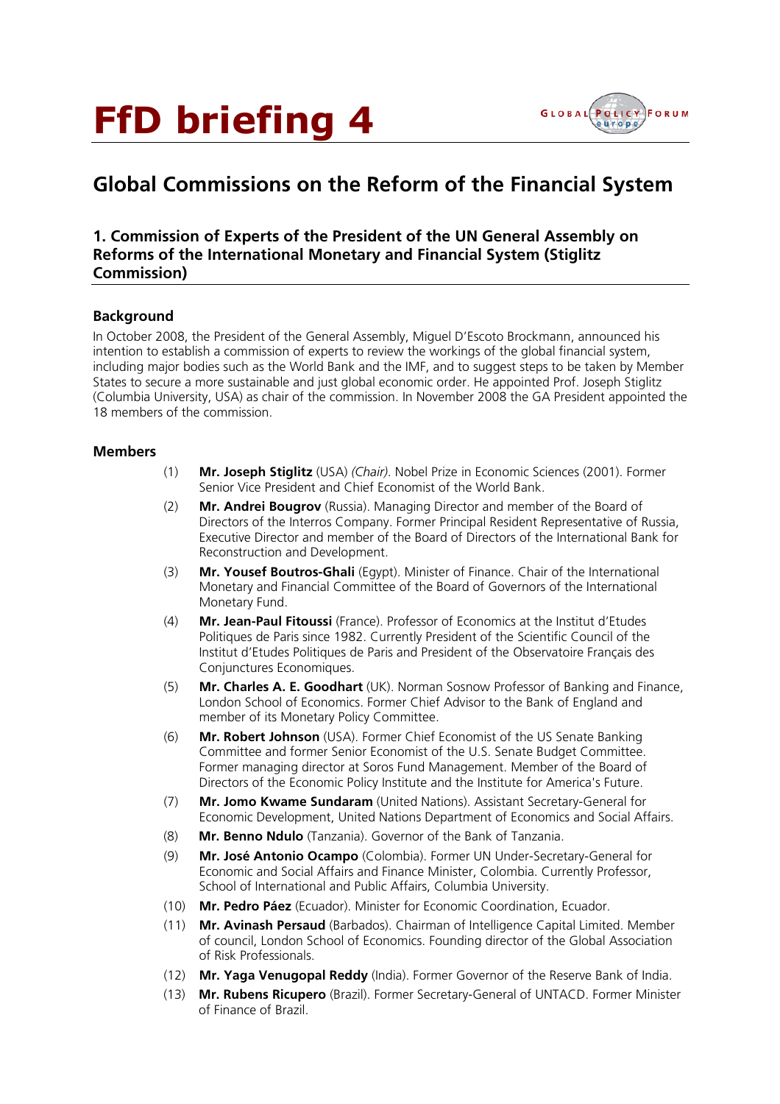# FfD briefing 4



# **Global Commissions on the Reform of the Financial System**

# **1. Commission of Experts of the President of the UN General Assembly on Reforms of the International Monetary and Financial System (Stiglitz Commission)**

#### **Background**

In October 2008, the President of the General Assembly, Miguel D'Escoto Brockmann, announced his intention to establish a commission of experts to review the workings of the global financial system, including major bodies such as the World Bank and the IMF, and to suggest steps to be taken by Member States to secure a more sustainable and just global economic order. He appointed Prof. Joseph Stiglitz (Columbia University, USA) as chair of the commission. In November 2008 the GA President appointed the 18 members of the commission.

#### **Members**

- (1) **Mr. Joseph Stiglitz** (USA) *(Chair)*. Nobel Prize in Economic Sciences (2001). Former Senior Vice President and Chief Economist of the World Bank.
- (2) **Mr. Andrei Bougrov** (Russia). Managing Director and member of the Board of Directors of the Interros Company. Former Principal Resident Representative of Russia, Executive Director and member of the Board of Directors of the International Bank for Reconstruction and Development.
- (3) **Mr. Yousef Boutros-Ghali** (Egypt). Minister of Finance. Chair of the International Monetary and Financial Committee of the Board of Governors of the International Monetary Fund.
- (4) **Mr. Jean-Paul Fitoussi** (France). Professor of Economics at the Institut d'Etudes Politiques de Paris since 1982. Currently President of the Scientific Council of the Institut d'Etudes Politiques de Paris and President of the Observatoire Français des Conjunctures Economiques.
- (5) **Mr. Charles A. E. Goodhart** (UK). Norman Sosnow Professor of Banking and Finance, London School of Economics. Former Chief Advisor to the Bank of England and member of its Monetary Policy Committee.
- (6) **Mr. Robert Johnson** (USA). Former Chief Economist of the US Senate Banking Committee and former Senior Economist of the U.S. Senate Budget Committee. Former managing director at Soros Fund Management. Member of the Board of Directors of the Economic Policy Institute and the Institute for America's Future.
- (7) **Mr. Jomo Kwame Sundaram** (United Nations). Assistant Secretary-General for Economic Development, United Nations Department of Economics and Social Affairs.
- (8) **Mr. Benno Ndulo** (Tanzania). Governor of the Bank of Tanzania.
- (9) **Mr. José Antonio Ocampo** (Colombia). Former UN Under-Secretary-General for Economic and Social Affairs and Finance Minister, Colombia. Currently Professor, School of International and Public Affairs, Columbia University.
- (10) **Mr. Pedro Páez** (Ecuador). Minister for Economic Coordination, Ecuador.
- (11) **Mr. Avinash Persaud** (Barbados). Chairman of Intelligence Capital Limited. Member of council, London School of Economics. Founding director of the Global Association of Risk Professionals.
- (12) **Mr. Yaga Venugopal Reddy** (India). Former Governor of the Reserve Bank of India.
- (13) **Mr. Rubens Ricupero** (Brazil). Former Secretary-General of UNTACD. Former Minister of Finance of Brazil.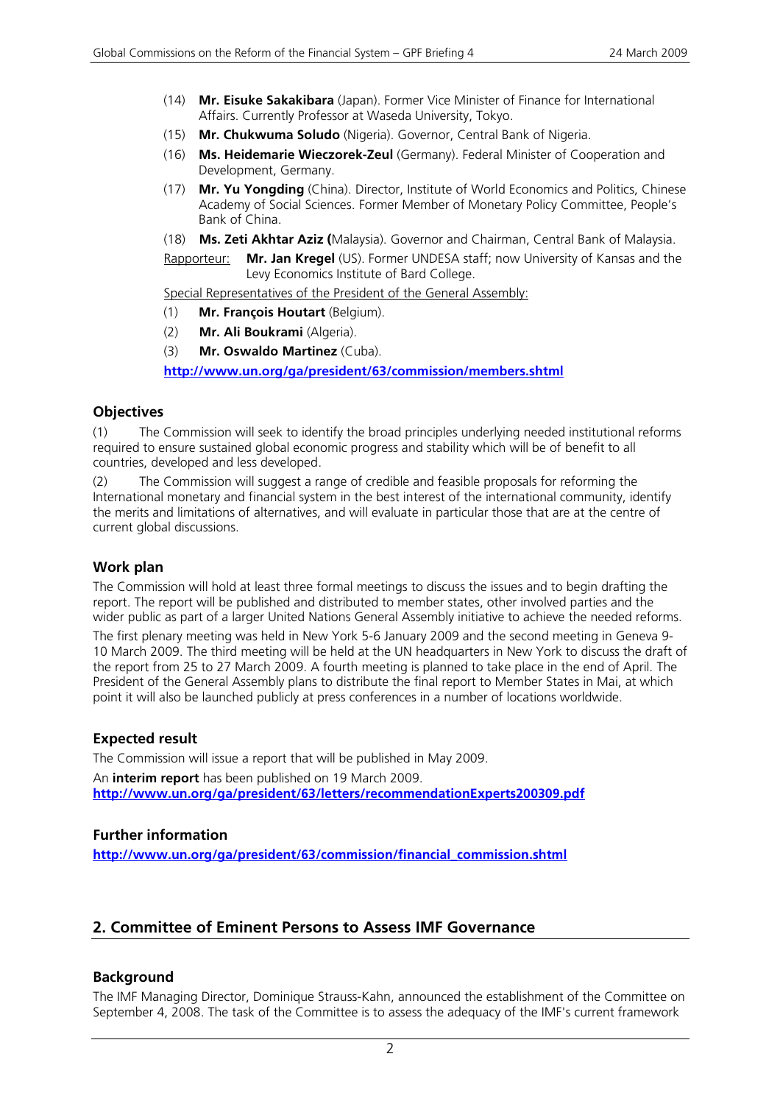- (14) **Mr. Eisuke Sakakibara** (Japan). Former Vice Minister of Finance for International Affairs. Currently Professor at Waseda University, Tokyo.
- (15) **Mr. Chukwuma Soludo** (Nigeria). Governor, Central Bank of Nigeria.
- (16) **Ms. Heidemarie Wieczorek-Zeul** (Germany). Federal Minister of Cooperation and Development, Germany.
- (17) **Mr. Yu Yongding** (China). Director, Institute of World Economics and Politics, Chinese Academy of Social Sciences. Former Member of Monetary Policy Committee, People's Bank of China.
- (18) **Ms. Zeti Akhtar Aziz (**Malaysia). Governor and Chairman, Central Bank of Malaysia.

Rapporteur: **Mr. Jan Kregel** (US). Former UNDESA staff; now University of Kansas and the Levy Economics Institute of Bard College.

Special Representatives of the President of the General Assembly:

- (1) **Mr. François Houtart** (Belgium).
- (2) **Mr. Ali Boukrami** (Algeria).
- (3) **Mr. Oswaldo Martinez** (Cuba).

**http://www.un.org/ga/president/63/commission/members.shtml**

#### **Objectives**

(1) The Commission will seek to identify the broad principles underlying needed institutional reforms required to ensure sustained global economic progress and stability which will be of benefit to all countries, developed and less developed.

(2) The Commission will suggest a range of credible and feasible proposals for reforming the International monetary and financial system in the best interest of the international community, identify the merits and limitations of alternatives, and will evaluate in particular those that are at the centre of current global discussions.

#### **Work plan**

The Commission will hold at least three formal meetings to discuss the issues and to begin drafting the report. The report will be published and distributed to member states, other involved parties and the wider public as part of a larger United Nations General Assembly initiative to achieve the needed reforms.

The first plenary meeting was held in New York 5-6 January 2009 and the second meeting in Geneva 9- 10 March 2009. The third meeting will be held at the UN headquarters in New York to discuss the draft of the report from 25 to 27 March 2009. A fourth meeting is planned to take place in the end of April. The President of the General Assembly plans to distribute the final report to Member States in Mai, at which point it will also be launched publicly at press conferences in a number of locations worldwide.

#### **Expected result**

The Commission will issue a report that will be published in May 2009. An **interim report** has been published on 19 March 2009. **http://www.un.org/ga/president/63/letters/recommendationExperts200309.pdf**

#### **Further information**

**http://www.un.org/ga/president/63/commission/financial\_commission.shtml**

# **2. Committee of Eminent Persons to Assess IMF Governance**

#### **Background**

The IMF Managing Director, Dominique Strauss-Kahn, announced the establishment of the Committee on September 4, 2008. The task of the Committee is to assess the adequacy of the IMF's current framework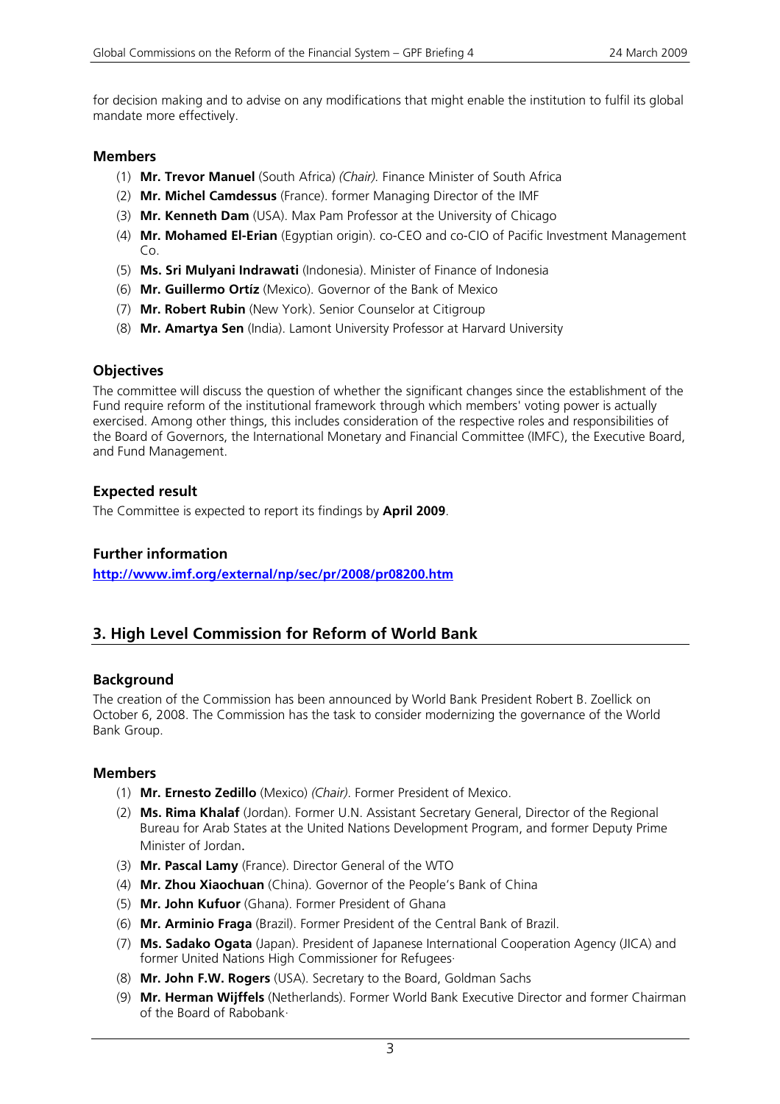for decision making and to advise on any modifications that might enable the institution to fulfil its global mandate more effectively.

#### **Members**

- (1) **Mr. Trevor Manuel** (South Africa) *(Chair).* Finance Minister of South Africa
- (2) **Mr. Michel Camdessus** (France). former Managing Director of the IMF
- (3) **Mr. Kenneth Dam** (USA). Max Pam Professor at the University of Chicago
- (4) **Mr. Mohamed El-Erian** (Egyptian origin). co-CEO and co-CIO of Pacific Investment Management Co.
- (5) **Ms. Sri Mulyani Indrawati** (Indonesia). Minister of Finance of Indonesia
- (6) **Mr. Guillermo Ortíz** (Mexico). Governor of the Bank of Mexico
- (7) **Mr. Robert Rubin** (New York). Senior Counselor at Citigroup
- (8) **Mr. Amartya Sen** (India). Lamont University Professor at Harvard University

# **Objectives**

The committee will discuss the question of whether the significant changes since the establishment of the Fund require reform of the institutional framework through which members' voting power is actually exercised. Among other things, this includes consideration of the respective roles and responsibilities of the Board of Governors, the International Monetary and Financial Committee (IMFC), the Executive Board, and Fund Management.

# **Expected result**

The Committee is expected to report its findings by **April 2009**.

# **Further information**

**http://www.imf.org/external/np/sec/pr/2008/pr08200.htm**

# **3. High Level Commission for Reform of World Bank**

#### **Background**

The creation of the Commission has been announced by World Bank President Robert B. Zoellick on October 6, 2008. The Commission has the task to consider modernizing the governance of the World Bank Group.

#### **Members**

- (1) **Mr. Ernesto Zedillo** (Mexico) *(Chair)*. Former President of Mexico.
- (2) **Ms. Rima Khalaf** (Jordan). Former U.N. Assistant Secretary General, Director of the Regional Bureau for Arab States at the United Nations Development Program, and former Deputy Prime Minister of Jordan.
- (3) **Mr. Pascal Lamy** (France). Director General of the WTO
- (4) **Mr. Zhou Xiaochuan** (China). Governor of the People's Bank of China
- (5) **Mr. John Kufuor** (Ghana). Former President of Ghana
- (6) **Mr. Arminio Fraga** (Brazil). Former President of the Central Bank of Brazil.
- (7) **Ms. Sadako Ogata** (Japan). President of Japanese International Cooperation Agency (JICA) and former United Nations High Commissioner for Refugees·
- (8) **Mr. John F.W. Rogers** (USA). Secretary to the Board, Goldman Sachs
- (9) **Mr. Herman Wijffels** (Netherlands). Former World Bank Executive Director and former Chairman of the Board of Rabobank·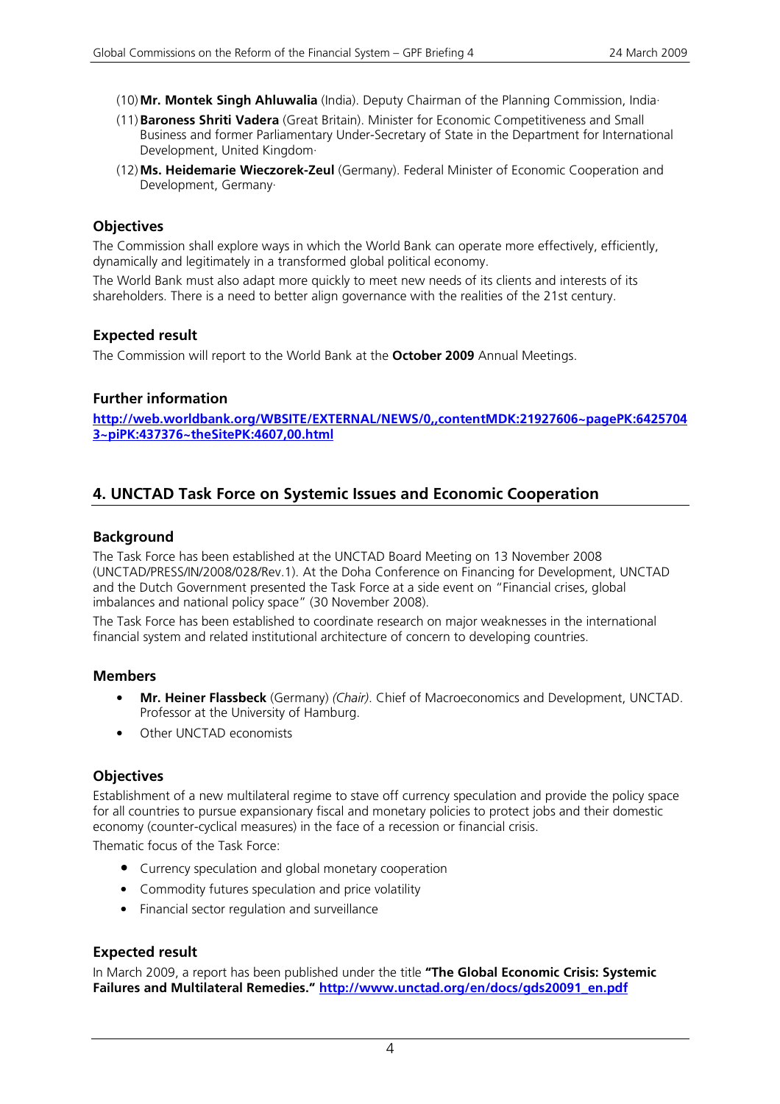- (10)**Mr. Montek Singh Ahluwalia** (India). Deputy Chairman of the Planning Commission, India·
- (11)**Baroness Shriti Vadera** (Great Britain). Minister for Economic Competitiveness and Small Business and former Parliamentary Under-Secretary of State in the Department for International Development, United Kingdom·
- (12)**Ms. Heidemarie Wieczorek-Zeul** (Germany). Federal Minister of Economic Cooperation and Development, Germany·

# **Objectives**

The Commission shall explore ways in which the World Bank can operate more effectively, efficiently, dynamically and legitimately in a transformed global political economy.

The World Bank must also adapt more quickly to meet new needs of its clients and interests of its shareholders. There is a need to better align governance with the realities of the 21st century.

#### **Expected result**

The Commission will report to the World Bank at the **October 2009** Annual Meetings.

#### **Further information**

**http://web.worldbank.org/WBSITE/EXTERNAL/NEWS/0,,contentMDK:21927606~pagePK:6425704 3~piPK:437376~theSitePK:4607,00.html**

# **4. UNCTAD Task Force on Systemic Issues and Economic Cooperation**

#### **Background**

The Task Force has been established at the UNCTAD Board Meeting on 13 November 2008 (UNCTAD/PRESS/IN/2008/028/Rev.1). At the Doha Conference on Financing for Development, UNCTAD and the Dutch Government presented the Task Force at a side event on "Financial crises, global imbalances and national policy space" (30 November 2008).

The Task Force has been established to coordinate research on major weaknesses in the international financial system and related institutional architecture of concern to developing countries.

#### **Members**

- **Mr. Heiner Flassbeck** (Germany) *(Chair)*. Chief of Macroeconomics and Development, UNCTAD. Professor at the University of Hamburg.
- Other UNCTAD economists

#### **Objectives**

Establishment of a new multilateral regime to stave off currency speculation and provide the policy space for all countries to pursue expansionary fiscal and monetary policies to protect jobs and their domestic economy (counter-cyclical measures) in the face of a recession or financial crisis.

Thematic focus of the Task Force:

- Currency speculation and global monetary cooperation
- Commodity futures speculation and price volatility
- Financial sector regulation and surveillance

#### **Expected result**

In March 2009, a report has been published under the title **"The Global Economic Crisis: Systemic Failures and Multilateral Remedies." http://www.unctad.org/en/docs/gds20091\_en.pdf**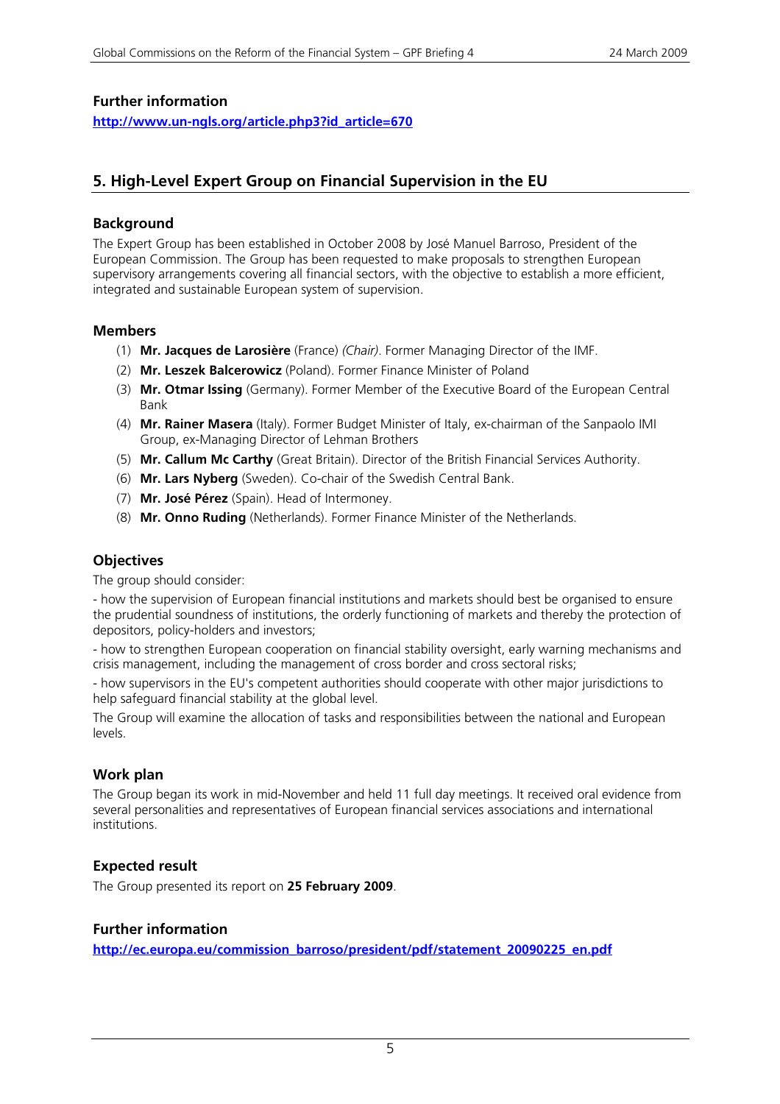# **Further information**

**http://www.un-ngls.org/article.php3?id\_article=670** 

# **5. High-Level Expert Group on Financial Supervision in the EU**

#### **Background**

The Expert Group has been established in October 2008 by José Manuel Barroso, President of the European Commission. The Group has been requested to make proposals to strengthen European supervisory arrangements covering all financial sectors, with the objective to establish a more efficient, integrated and sustainable European system of supervision.

#### **Members**

- (1) **Mr. Jacques de Larosière** (France) *(Chair)*. Former Managing Director of the IMF.
- (2) **Mr. Leszek Balcerowicz** (Poland). Former Finance Minister of Poland
- (3) **Mr. Otmar Issing** (Germany). Former Member of the Executive Board of the European Central Bank
- (4) **Mr. Rainer Masera** (Italy). Former Budget Minister of Italy, ex-chairman of the Sanpaolo IMI Group, ex-Managing Director of Lehman Brothers
- (5) **Mr. Callum Mc Carthy** (Great Britain). Director of the British Financial Services Authority.
- (6) **Mr. Lars Nyberg** (Sweden). Co-chair of the Swedish Central Bank.
- (7) **Mr. José Pérez** (Spain). Head of Intermoney.
- (8) **Mr. Onno Ruding** (Netherlands). Former Finance Minister of the Netherlands.

# **Objectives**

The group should consider:

- how the supervision of European financial institutions and markets should best be organised to ensure the prudential soundness of institutions, the orderly functioning of markets and thereby the protection of depositors, policy-holders and investors;

- how to strengthen European cooperation on financial stability oversight, early warning mechanisms and crisis management, including the management of cross border and cross sectoral risks;

- how supervisors in the EU's competent authorities should cooperate with other major jurisdictions to help safeguard financial stability at the global level.

The Group will examine the allocation of tasks and responsibilities between the national and European levels.

# **Work plan**

The Group began its work in mid-November and held 11 full day meetings. It received oral evidence from several personalities and representatives of European financial services associations and international institutions.

# **Expected result**

The Group presented its report on **25 February 2009**.

# **Further information**

**http://ec.europa.eu/commission\_barroso/president/pdf/statement\_20090225\_en.pdf**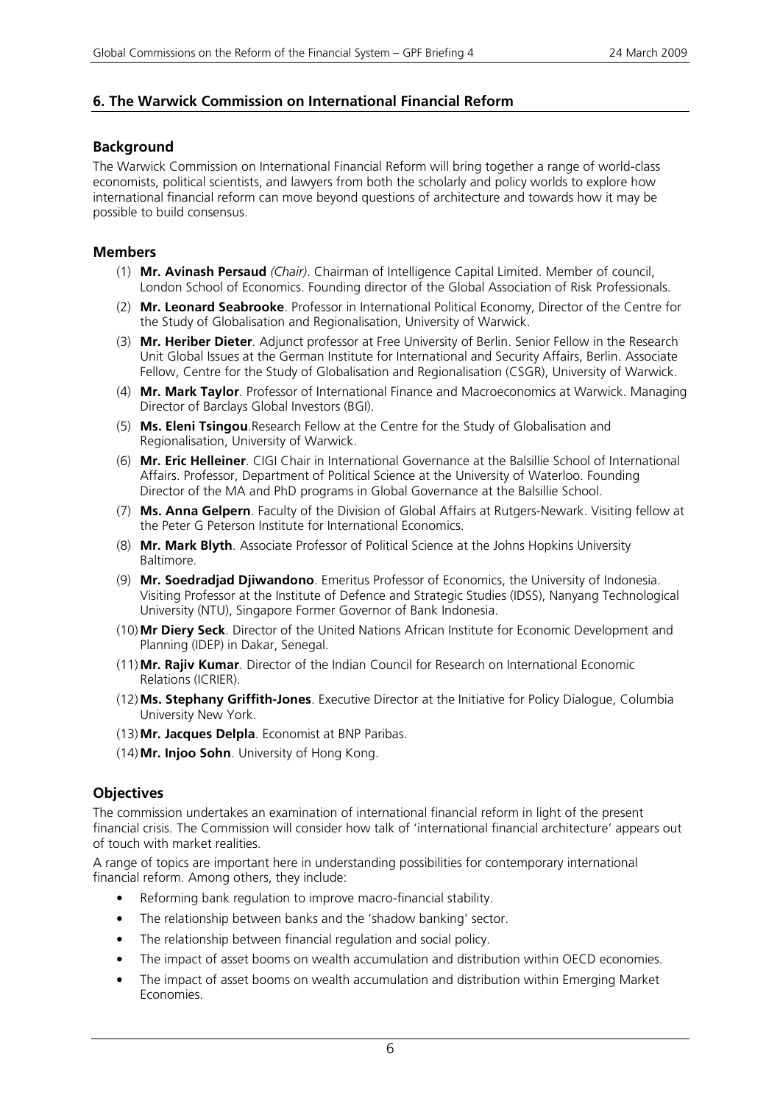#### **6. The Warwick Commission on International Financial Reform**

#### **Background**

The Warwick Commission on International Financial Reform will bring together a range of world-class economists, political scientists, and lawyers from both the scholarly and policy worlds to explore how international financial reform can move beyond questions of architecture and towards how it may be possible to build consensus.

#### **Members**

- (1) **Mr. Avinash Persaud** *(Chair)*. Chairman of Intelligence Capital Limited. Member of council, London School of Economics. Founding director of the Global Association of Risk Professionals.
- (2) **Mr. Leonard Seabrooke**. Professor in International Political Economy, Director of the Centre for the Study of Globalisation and Regionalisation, University of Warwick.
- (3) **Mr. Heriber Dieter**. Adjunct professor at Free University of Berlin. Senior Fellow in the Research Unit Global Issues at the German Institute for International and Security Affairs, Berlin. Associate Fellow, Centre for the Study of Globalisation and Regionalisation (CSGR), University of Warwick.
- (4) **Mr. Mark Taylor**. Professor of International Finance and Macroeconomics at Warwick. Managing Director of Barclays Global Investors (BGI).
- (5) **Ms. Eleni Tsingou**.Research Fellow at the Centre for the Study of Globalisation and Regionalisation, University of Warwick.
- (6) **Mr. Eric Helleiner**. CIGI Chair in International Governance at the Balsillie School of International Affairs. Professor, Department of Political Science at the University of Waterloo. Founding Director of the MA and PhD programs in Global Governance at the Balsillie School.
- (7) **Ms. Anna Gelpern**. Faculty of the Division of Global Affairs at Rutgers-Newark. Visiting fellow at the Peter G Peterson Institute for International Economics.
- (8) **Mr. Mark Blyth**. Associate Professor of Political Science at the Johns Hopkins University Baltimore.
- (9) **Mr. Soedradjad Djiwandono**. Emeritus Professor of Economics, the University of Indonesia. Visiting Professor at the Institute of Defence and Strategic Studies (IDSS), Nanyang Technological University (NTU), Singapore Former Governor of Bank Indonesia.
- (10)**Mr Diery Seck**. Director of the United Nations African Institute for Economic Development and Planning (IDEP) in Dakar, Senegal.
- (11)**Mr. Rajiv Kumar**. Director of the Indian Council for Research on International Economic Relations (ICRIER).
- (12)**Ms. Stephany Griffith-Jones**. Executive Director at the Initiative for Policy Dialogue, Columbia University New York.
- (13)**Mr. Jacques Delpla**. Economist at BNP Paribas.
- (14)**Mr. Injoo Sohn**. University of Hong Kong.

#### **Objectives**

The commission undertakes an examination of international financial reform in light of the present financial crisis. The Commission will consider how talk of 'international financial architecture' appears out of touch with market realities.

A range of topics are important here in understanding possibilities for contemporary international financial reform. Among others, they include:

- Reforming bank regulation to improve macro-financial stability.
- The relationship between banks and the 'shadow banking' sector.
- The relationship between financial regulation and social policy.
- The impact of asset booms on wealth accumulation and distribution within OECD economies.
- The impact of asset booms on wealth accumulation and distribution within Emerging Market Economies.